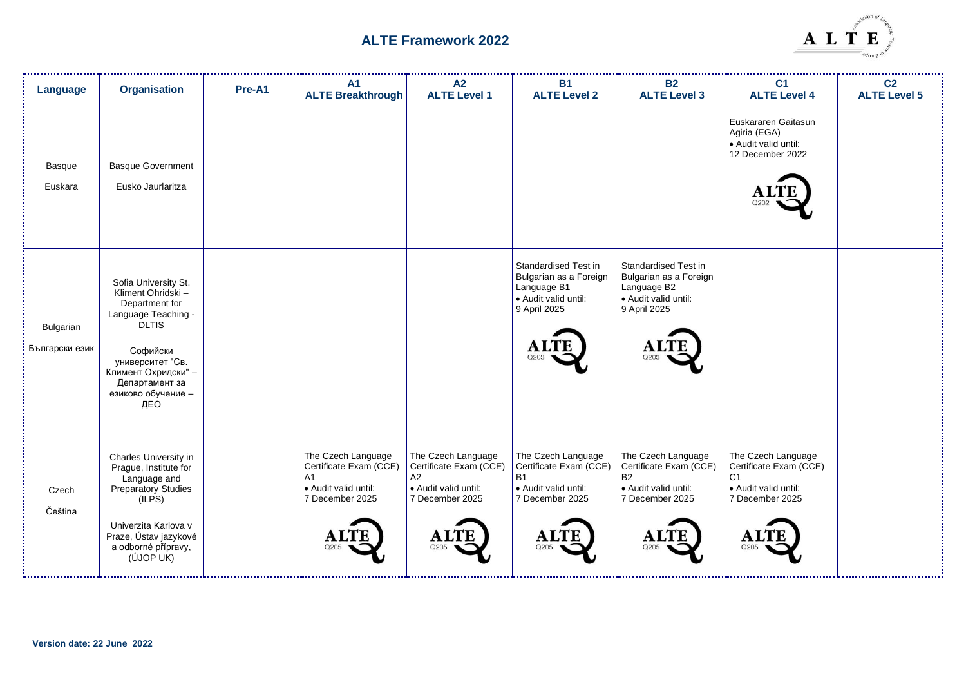

| Language                    | <b>Organisation</b>                                                                                                                                                                                       | Pre-A1 | A <sub>1</sub><br><b>ALTE Breakthrough</b>                                                                | A2<br><b>ALTE Level 1</b>                                                                             | <b>B1</b><br><b>ALTE Level 2</b>                                                                             | <b>B2</b><br><b>ALTE Level 3</b>                                                                              | C <sub>1</sub><br><b>ALTE Level 4</b>                                                                             | C <sub>2</sub><br><b>ALTE Level 5</b> |
|-----------------------------|-----------------------------------------------------------------------------------------------------------------------------------------------------------------------------------------------------------|--------|-----------------------------------------------------------------------------------------------------------|-------------------------------------------------------------------------------------------------------|--------------------------------------------------------------------------------------------------------------|---------------------------------------------------------------------------------------------------------------|-------------------------------------------------------------------------------------------------------------------|---------------------------------------|
| Basque<br>Euskara           | <b>Basque Government</b><br>Eusko Jaurlaritza                                                                                                                                                             |        |                                                                                                           |                                                                                                       |                                                                                                              |                                                                                                               | Euskararen Gaitasun<br>Agiria (EGA)<br>· Audit valid until:<br>12 December 2022                                   |                                       |
| Bulgarian<br>Български език | Sofia University St.<br>Kliment Ohridski -<br>Department for<br>Language Teaching -<br><b>DLTIS</b><br>Софийски<br>университет "Св.<br>Климент Охридски" -<br>Департамент за<br>езиково обучение -<br>ДЕО |        |                                                                                                           |                                                                                                       | Standardised Test in<br>Bulgarian as a Foreign<br>Language B1<br>• Audit valid until:<br>9 April 2025        | Standardised Test in<br>Bulgarian as a Foreign<br>Language B2<br>· Audit valid until:<br>9 April 2025<br>Q203 |                                                                                                                   |                                       |
| Czech<br>Čeština            | Charles University in<br>Prague, Institute for<br>Language and<br>Preparatory Studies<br>(ILPS)<br>Univerzita Karlova v<br>Praze, Ústav jazykové<br>a odborné přípravy,<br>(ÚJOP UK)                      |        | The Czech Language<br>Certificate Exam (CCE)<br>A <sub>1</sub><br>• Audit valid until:<br>7 December 2025 | The Czech Language<br>Certificate Exam (CCE)<br>A2<br>• Audit valid until:<br>7 December 2025<br>Q205 | The Czech Language<br>Certificate Exam (CCE)<br><b>B1</b><br>• Audit valid until:<br>7 December 2025<br>Q205 | The Czech Language<br>Certificate Exam (CCE)<br><b>B2</b><br>• Audit valid until:<br>7 December 2025<br>Q205  | The Czech Language<br>Certificate Exam (CCE)<br>C <sub>1</sub><br>· Audit valid until:<br>7 December 2025<br>Q205 |                                       |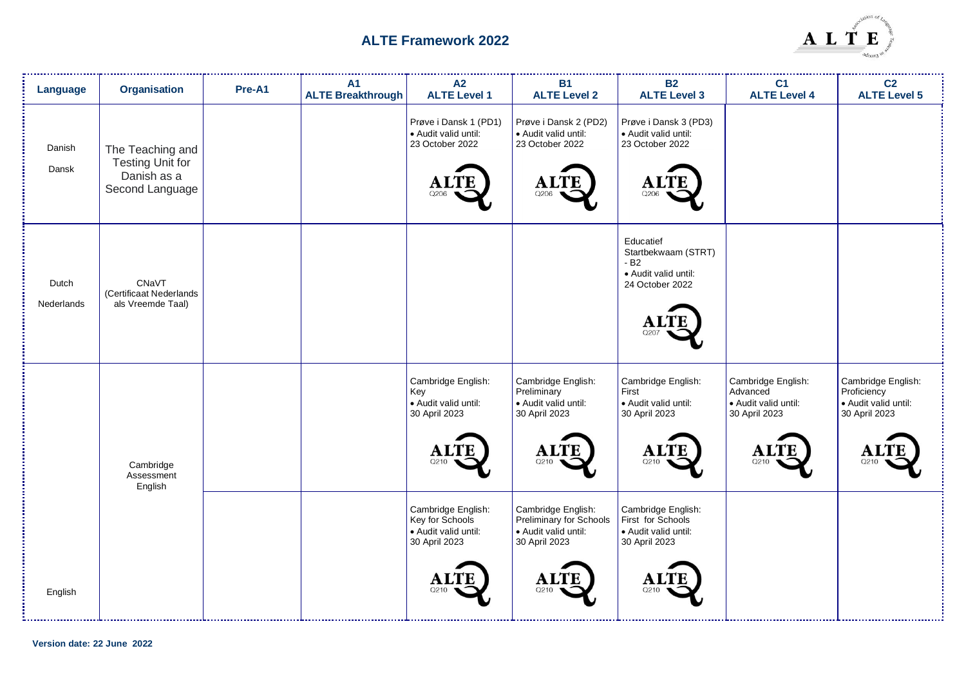

| Language            | <b>Organisation</b>                                                           | Pre-A1 | <b>A1</b><br><b>ALTE Breakthrough</b> | A2<br><b>ALTE Level 1</b>                                                              | <b>B1</b><br><b>ALTE Level 2</b>                                                                     | <b>B2</b><br><b>ALTE Level 3</b>                                                         | C <sub>1</sub><br><b>ALTE Level 4</b>                                         | C <sub>2</sub><br><b>ALTE Level 5</b>                                      |
|---------------------|-------------------------------------------------------------------------------|--------|---------------------------------------|----------------------------------------------------------------------------------------|------------------------------------------------------------------------------------------------------|------------------------------------------------------------------------------------------|-------------------------------------------------------------------------------|----------------------------------------------------------------------------|
| Danish<br>Dansk     | The Teaching and<br><b>Testing Unit for</b><br>Danish as a<br>Second Language |        |                                       | Prøve i Dansk 1 (PD1)<br>· Audit valid until:<br>23 October 2022<br>റാറല               | Prøve i Dansk 2 (PD2)<br>· Audit valid until:<br>23 October 2022<br>Q206                             | Prøve i Dansk 3 (PD3)<br>· Audit valid until:<br>23 October 2022<br>A.<br>Q206           |                                                                               |                                                                            |
| Dutch<br>Nederlands | CNaVT<br>(Certificaat Nederlands<br>als Vreemde Taal)                         |        |                                       |                                                                                        |                                                                                                      | Educatief<br>Startbekwaam (STRT)<br>$-B2$<br>· Audit valid until:<br>24 October 2022     |                                                                               |                                                                            |
|                     | Cambridge<br>Assessment<br>English                                            |        |                                       | Cambridge English:<br>Key<br>· Audit valid until:<br>30 April 2023                     | Cambridge English:<br>Preliminary<br>· Audit valid until:<br>30 April 2023<br>Q210                   | Cambridge English:<br>First<br>· Audit valid until:<br>30 April 2023<br>O21C             | Cambridge English:<br>Advanced<br>Audit valid until:<br>30 April 2023<br>0210 | Cambridge English:<br>Proficiency<br>· Audit valid until:<br>30 April 2023 |
| English             |                                                                               |        |                                       | Cambridge English:<br>Key for Schools<br>· Audit valid until:<br>30 April 2023<br>Q210 | Cambridge English:<br>Preliminary for Schools<br>· Audit valid until:<br>30 April 2023<br>Al<br>Q210 | Cambridge English:<br>First for Schools<br>· Audit valid until:<br>30 April 2023<br>Q21C |                                                                               |                                                                            |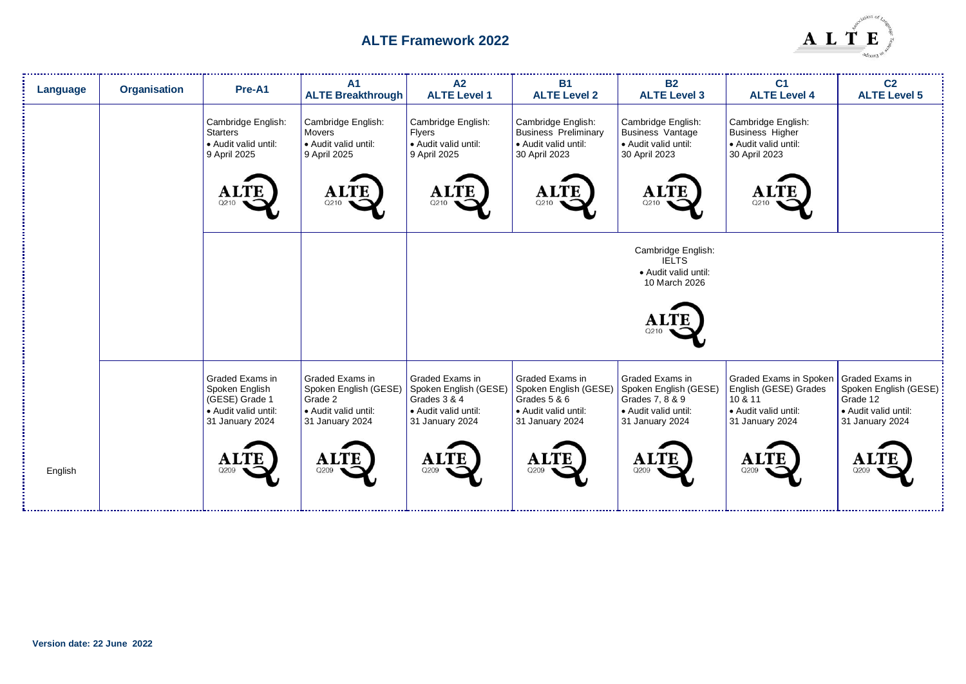

| Language | <b>Organisation</b> | Pre-A1                                                                                         | A <sub>1</sub><br><b>ALTE Breakthrough</b>                                                     | A2<br><b>ALTE Level 1</b>                                                                           | <b>B1</b><br><b>ALTE Level 2</b>                                                                    | <b>B2</b><br><b>ALTE Level 3</b>                                                                       | C <sub>1</sub><br><b>ALTE Level 4</b>                                                                                 | C <sub>2</sub><br><b>ALTE Level 5</b>                                        |
|----------|---------------------|------------------------------------------------------------------------------------------------|------------------------------------------------------------------------------------------------|-----------------------------------------------------------------------------------------------------|-----------------------------------------------------------------------------------------------------|--------------------------------------------------------------------------------------------------------|-----------------------------------------------------------------------------------------------------------------------|------------------------------------------------------------------------------|
|          |                     | Cambridge English:<br><b>Starters</b><br>• Audit valid until:<br>9 April 2025                  | Cambridge English:<br>Movers<br>• Audit valid until:<br>9 April 2025                           | Cambridge English:<br><b>Flyers</b><br>· Audit valid until:<br>9 April 2025                         | Cambridge English:<br><b>Business Preliminary</b><br>• Audit valid until:<br>30 April 2023          | Cambridge English:<br><b>Business Vantage</b><br>• Audit valid until:<br>30 April 2023                 | Cambridge English:<br><b>Business Higher</b><br>• Audit valid until:<br>30 April 2023                                 |                                                                              |
|          |                     | <b>ALTE</b><br>Q210                                                                            | <b>ALTE</b><br>Q210                                                                            | <b>ALTE</b><br>Q210                                                                                 | <b>ALTE</b><br>Q210                                                                                 | <b>ALTE</b><br>Q210                                                                                    | Q210                                                                                                                  |                                                                              |
|          |                     |                                                                                                |                                                                                                |                                                                                                     |                                                                                                     | Cambridge English:<br><b>IELTS</b><br>· Audit valid until:<br>10 March 2026                            |                                                                                                                       |                                                                              |
|          |                     |                                                                                                |                                                                                                |                                                                                                     |                                                                                                     | Q210                                                                                                   |                                                                                                                       |                                                                              |
|          |                     | Graded Exams in<br>Spoken English<br>(GESE) Grade 1<br>• Audit valid until:<br>31 January 2024 | Graded Exams in<br>Spoken English (GESE)<br>Grade 2<br>• Audit valid until:<br>31 January 2024 | Graded Exams in<br>Spoken English (GESE)<br>Grades 3 & 4<br>• Audit valid until:<br>31 January 2024 | Graded Exams in<br>Spoken English (GESE)<br>Grades 5 & 6<br>• Audit valid until:<br>31 January 2024 | Graded Exams in<br>Spoken English (GESE)<br>Grades 7, 8 & 9<br>• Audit valid until:<br>31 January 2024 | Graded Exams in Spoken Graded Exams in<br>English (GESE) Grades<br>10 & 11<br>• Audit valid until:<br>31 January 2024 | Spoken English (GESE) :<br>Grade 12<br>Audit valid until:<br>31 January 2024 |
| English  |                     | <b>ALTE</b><br>Q209                                                                            | <b>ALTE</b><br>Q209                                                                            | <b>ALTE</b><br>Q209                                                                                 | <b>ALTE</b><br>Q209                                                                                 | <b>ALTE</b><br>Q209                                                                                    | <b>ALTE</b><br>Q209                                                                                                   |                                                                              |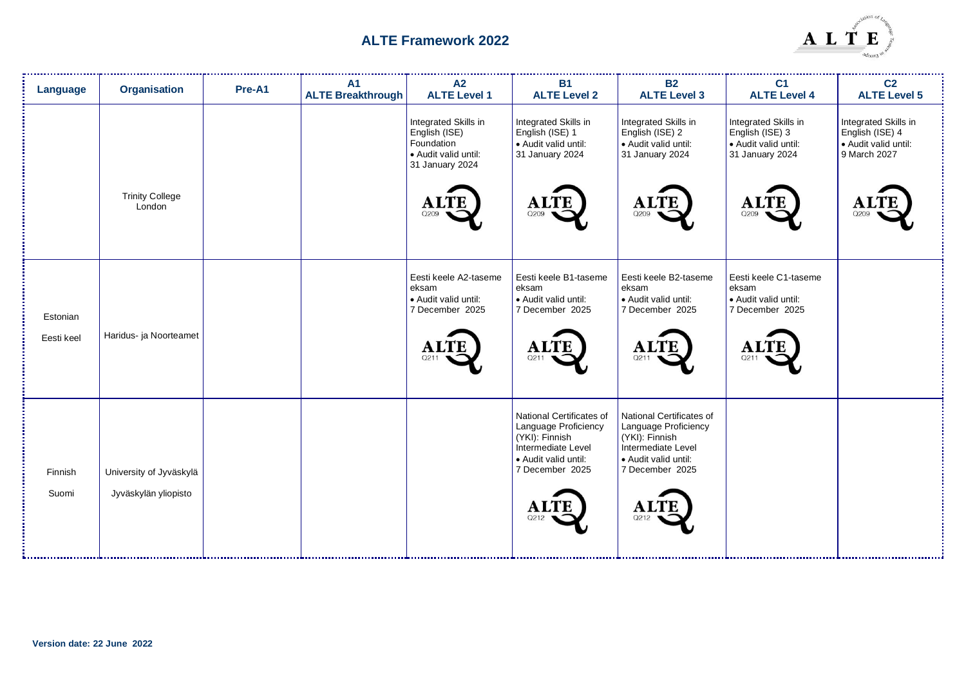

| Language               | <b>Organisation</b>                             | Pre-A1 | A <sub>1</sub><br><b>ALTE Breakthrough</b> | A2<br><b>ALTE Level 1</b>                                                                                  | <b>B1</b><br><b>ALTE Level 2</b>                                                                                                                           | <b>B2</b><br><b>ALTE Level 3</b>                                                                                                                           | C <sub>1</sub><br><b>ALTE Level 4</b>                                                             | C <sub>2</sub><br><b>ALTE Level 5</b>                                                  |
|------------------------|-------------------------------------------------|--------|--------------------------------------------|------------------------------------------------------------------------------------------------------------|------------------------------------------------------------------------------------------------------------------------------------------------------------|------------------------------------------------------------------------------------------------------------------------------------------------------------|---------------------------------------------------------------------------------------------------|----------------------------------------------------------------------------------------|
|                        | <b>Trinity College</b><br>London                |        |                                            | Integrated Skills in<br>English (ISE)<br>Foundation<br>Audit valid until:<br>31 January 2024<br>AL<br>Q209 | Integrated Skills in<br>English (ISE) 1<br>· Audit valid until:<br>31 January 2024<br><b>ALTE</b><br>Q209                                                  | Integrated Skills in<br>English (ISE) 2<br>· Audit valid until:<br>31 January 2024<br><b>ALTE</b><br>Q209                                                  | Integrated Skills in<br>English (ISE) 3<br>· Audit valid until:<br>31 January 2024<br>A1<br>Q209  | Integrated Skills in<br>English (ISE) 4<br>• Audit valid until:<br>9 March 2027<br>Q20 |
| Estonian<br>Eesti keel | Haridus- ja Noorteamet                          |        |                                            | Eesti keele A2-taseme<br>eksam<br>· Audit valid until:<br>7 December 2025<br><b>ALTE</b>                   | Eesti keele B1-taseme<br>eksam<br>· Audit valid until:<br>7 December 2025<br><b>ALTE</b><br>Q211                                                           | Eesti keele B2-taseme<br>eksam<br>· Audit valid until:<br>7 December 2025<br><b>ALTE</b><br>Q211                                                           | Eesti keele C1-taseme<br>eksam<br>• Audit valid until:<br>7 December 2025<br>$\mathbf{A}$<br>Q211 |                                                                                        |
| Finnish<br>Suomi       | University of Jyväskylä<br>Jyväskylän yliopisto |        |                                            |                                                                                                            | National Certificates of<br>Language Proficiency<br>(YKI): Finnish<br>Intermediate Level<br>· Audit valid until:<br>7 December 2025<br><b>ALTE</b><br>Q212 | National Certificates of<br>Language Proficiency<br>(YKI): Finnish<br>Intermediate Level<br>· Audit valid until:<br>7 December 2025<br><b>ALTI</b><br>Q212 |                                                                                                   |                                                                                        |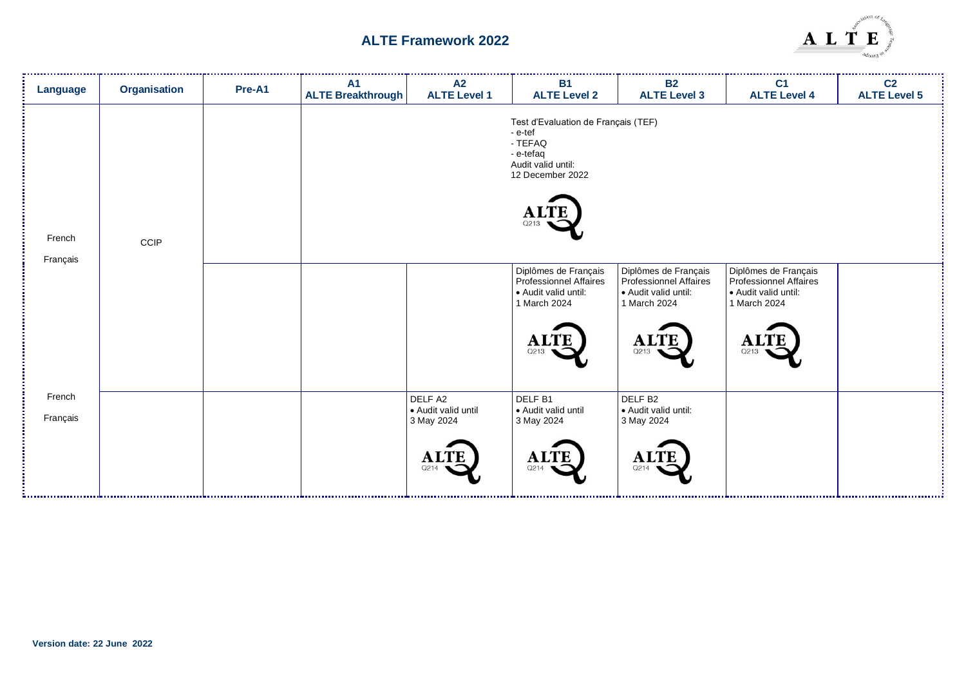

| <b>Language</b>    | Organisation | Pre-A1 | <b>A1</b><br><b>ALTE Breakthrough</b> | A2<br><b>ALTE Level 1</b>                                           | <b>B1</b><br><b>ALTE Level 2</b>                                                                                               | <b>B2</b><br><b>ALTE Level 3</b>                                                                              | C <sub>1</sub><br><b>ALTE Level 4</b>                                                               | C <sub>2</sub><br><b>ALTE Level 5</b> |
|--------------------|--------------|--------|---------------------------------------|---------------------------------------------------------------------|--------------------------------------------------------------------------------------------------------------------------------|---------------------------------------------------------------------------------------------------------------|-----------------------------------------------------------------------------------------------------|---------------------------------------|
| French<br>Français | CCIP         |        |                                       |                                                                     | Test d'Evaluation de Français (TEF)<br>- e-tef<br>- TEFAQ<br>- e-tefaq<br>Audit valid until:<br>12 December 2022<br>AL<br>Q213 |                                                                                                               |                                                                                                     |                                       |
|                    |              |        |                                       |                                                                     | Diplômes de Français<br>Professionnel Affaires<br>· Audit valid until:<br>1 March 2024<br><b>ALTE</b><br>Q213                  | Diplômes de Français<br>Professionnel Affaires<br>· Audit valid until:<br>1 March 2024<br><b>ALTE</b><br>Q213 | Diplômes de Français<br>Professionnel Affaires<br>· Audit valid until:<br>1 March 2024<br>A<br>Q213 |                                       |
| French<br>Français |              |        |                                       | DELF A2<br>· Audit valid until<br>3 May 2024<br><b>ALTE</b><br>Q214 | DELF <sub>B1</sub><br>· Audit valid until<br>3 May 2024<br><b>ALTE</b><br>Q214                                                 | DELF <sub>B2</sub><br>· Audit valid until:<br>3 May 2024<br><b>ALTE</b><br>Q214                               |                                                                                                     |                                       |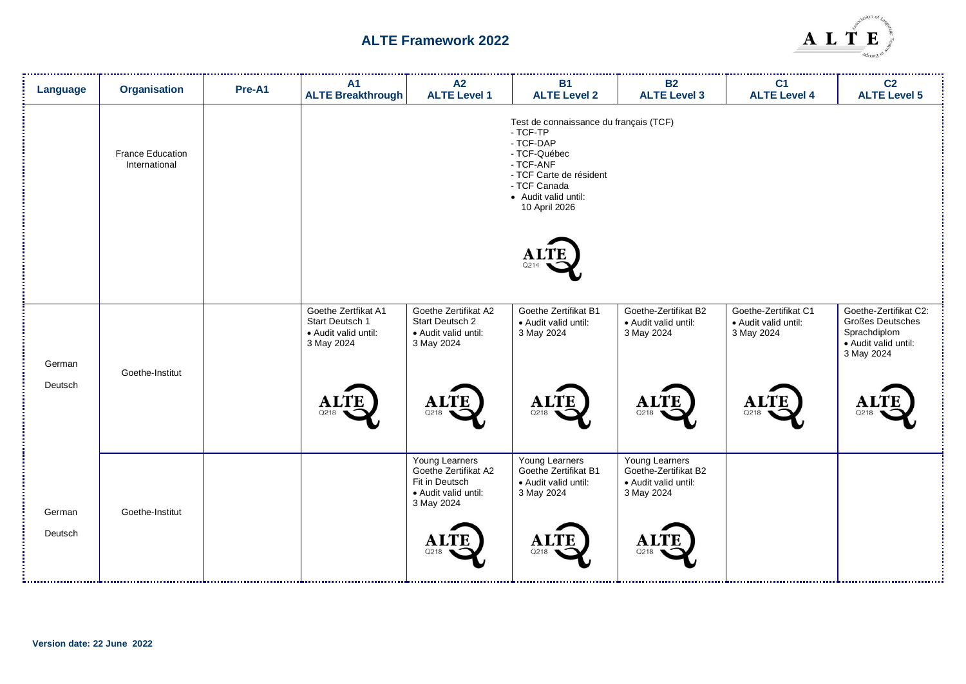

| Language | <b>Organisation</b>                      | Pre-A1 | <b>A1</b><br><b>ALTE Breakthrough</b>                                        | A2<br><b>ALTE Level 1</b>                                                                      | <b>B1</b><br><b>ALTE Level 2</b>                                                                                                                                                 | <b>B2</b><br><b>ALTE Level 3</b>                                             | C <sub>1</sub><br><b>ALTE Level 4</b>                      | C <sub>2</sub><br><b>ALTE Level 5</b>                                                           |
|----------|------------------------------------------|--------|------------------------------------------------------------------------------|------------------------------------------------------------------------------------------------|----------------------------------------------------------------------------------------------------------------------------------------------------------------------------------|------------------------------------------------------------------------------|------------------------------------------------------------|-------------------------------------------------------------------------------------------------|
|          | <b>France Education</b><br>International |        |                                                                              |                                                                                                | Test de connaissance du français (TCF)<br>- TCF-TP<br>- TCF-DAP<br>- TCF-Québec<br>- TCF-ANF<br>- TCF Carte de résident<br>- TCF Canada<br>• Audit valid until:<br>10 April 2026 |                                                                              |                                                            |                                                                                                 |
|          |                                          |        |                                                                              |                                                                                                | O214                                                                                                                                                                             |                                                                              |                                                            |                                                                                                 |
| German   | Goethe-Institut                          |        | Goethe Zertfikat A1<br>Start Deutsch 1<br>• Audit valid until:<br>3 May 2024 | Goethe Zertifikat A2<br>Start Deutsch 2<br>• Audit valid until:<br>3 May 2024                  | Goethe Zertifikat B1<br>· Audit valid until:<br>3 May 2024                                                                                                                       | Goethe-Zertifikat B2<br>· Audit valid until:<br>3 May 2024                   | Goethe-Zertifikat C1<br>· Audit valid until:<br>3 May 2024 | Goethe-Zertifikat C2:<br>Großes Deutsches<br>Sprachdiplom<br>· Audit valid until:<br>3 May 2024 |
| Deutsch  |                                          |        | <b>ALTE</b><br>Q218                                                          | <b>ALTE</b><br>Q218                                                                            | <b>ALTE</b><br>Q218                                                                                                                                                              | <b>ALTE</b><br>Q218                                                          | <b>ALTE</b><br>Q218                                        | ALTI<br>Q218                                                                                    |
| German   | Goethe-Institut                          |        |                                                                              | Young Learners<br>Goethe Zertifikat A2<br>Fit in Deutsch<br>• Audit valid until:<br>3 May 2024 | Young Learners<br>Goethe Zertifikat B1<br>· Audit valid until:<br>3 May 2024                                                                                                     | Young Learners<br>Goethe-Zertifikat B2<br>· Audit valid until:<br>3 May 2024 |                                                            |                                                                                                 |
| Deutsch  |                                          |        |                                                                              | <b>ALTE</b><br>Q218                                                                            | <b>ALTE</b><br>Q218                                                                                                                                                              | <b>ALTE</b><br>Q218                                                          |                                                            |                                                                                                 |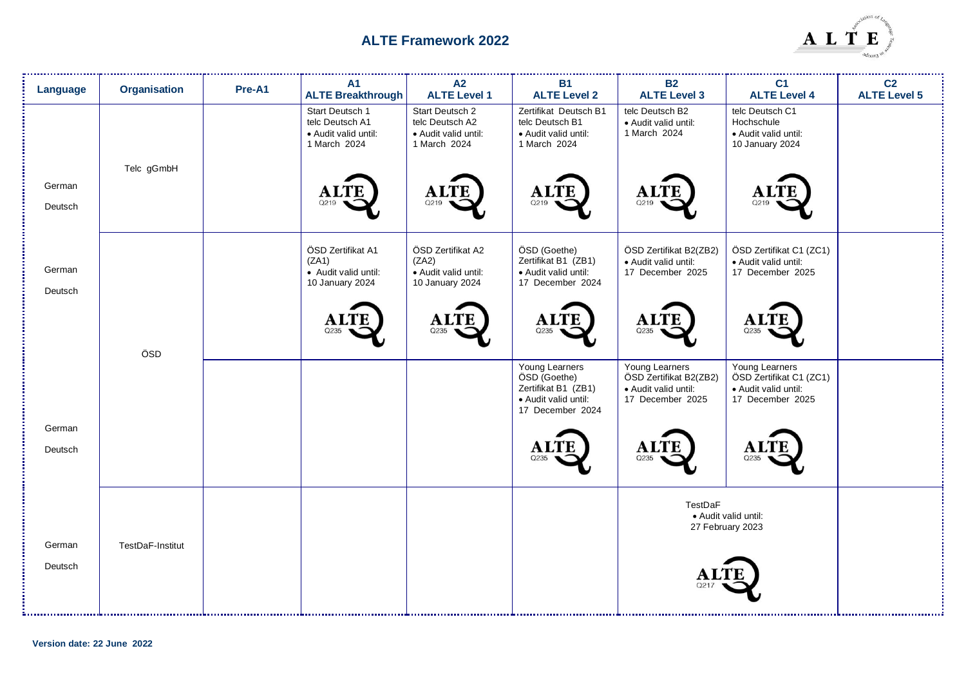

| Language          | <b>Organisation</b> | Pre-A1 | <b>A1</b><br><b>ALTE Breakthrough</b>                                      | A2<br><b>ALTE Level 1</b>                                                  | <b>B1</b><br><b>ALTE Level 2</b>                                                                  | <b>B2</b><br><b>ALTE Level 3</b>                                                     | C <sub>1</sub><br><b>ALTE Level 4</b>                                                 | C <sub>2</sub><br><b>ALTE Level 5</b> |
|-------------------|---------------------|--------|----------------------------------------------------------------------------|----------------------------------------------------------------------------|---------------------------------------------------------------------------------------------------|--------------------------------------------------------------------------------------|---------------------------------------------------------------------------------------|---------------------------------------|
|                   | Telc gGmbH          |        | Start Deutsch 1<br>telc Deutsch A1<br>· Audit valid until:<br>1 March 2024 | Start Deutsch 2<br>telc Deutsch A2<br>• Audit valid until:<br>1 March 2024 | Zertifikat Deutsch B1<br>telc Deutsch B1<br>• Audit valid until:<br>1 March 2024                  | telc Deutsch B2<br>· Audit valid until:<br>1 March 2024                              | telc Deutsch C1<br>Hochschule<br>· Audit valid until:<br>10 January 2024              |                                       |
| German<br>Deutsch |                     |        | A)<br>Q219                                                                 | <b>ALTE</b><br>Q219                                                        | <b>ALTE</b><br>Q219                                                                               | <b>ALTE</b><br>Q219                                                                  |                                                                                       |                                       |
| German<br>Deutsch |                     |        | ÖSD Zertifikat A1<br>(ZA1)<br>· Audit valid until:<br>10 January 2024      | ÖSD Zertifikat A2<br>(ZA2)<br>· Audit valid until:<br>10 January 2024      | ÖSD (Goethe)<br>Zertifikat B1 (ZB1)<br>• Audit valid until:<br>17 December 2024                   | ÖSD Zertifikat B2(ZB2)<br>· Audit valid until:<br>17 December 2025                   | ÖSD Zertifikat C1 (ZC1)<br>· Audit valid until:<br>17 December 2025                   |                                       |
|                   | ÖSD                 |        | ${\bf A}1$                                                                 | <b>ALTE</b><br>O235                                                        | <b>ALTE</b><br>Q235                                                                               | <b>ALTE</b><br>Q235                                                                  | A<br>Q235                                                                             |                                       |
|                   |                     |        |                                                                            |                                                                            | Young Learners<br>ÖSD (Goethe)<br>Zertifikat B1 (ZB1)<br>· Audit valid until:<br>17 December 2024 | Young Learners<br>ÖSD Zertifikat B2(ZB2)<br>· Audit valid until:<br>17 December 2025 | Young Learners<br>ÖSD Zertifikat C1 (ZC1)<br>· Audit valid until:<br>17 December 2025 |                                       |
| German<br>Deutsch |                     |        |                                                                            |                                                                            | Q235                                                                                              | A)<br>Q235                                                                           | Q235                                                                                  |                                       |
| German            | TestDaF-Institut    |        |                                                                            |                                                                            |                                                                                                   | TestDaF                                                                              | · Audit valid until:<br>27 February 2023                                              |                                       |
| Deutsch           |                     |        |                                                                            |                                                                            |                                                                                                   |                                                                                      |                                                                                       |                                       |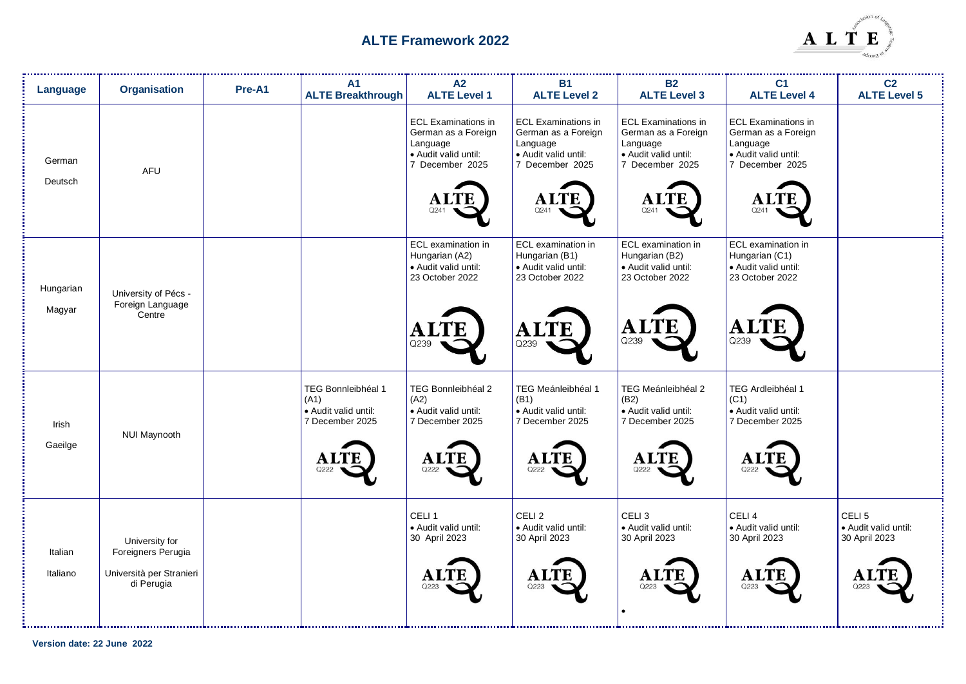

| Language            | <b>Organisation</b>                                                            | Pre-A1 | <b>A1</b><br><b>ALTE Breakthrough</b>                                                        | A2<br><b>ALTE Level 1</b>                                                                                                       | <b>B1</b><br><b>ALTE Level 2</b>                                                                                 | <b>B2</b><br><b>ALTE Level 3</b>                                                                                       | C <sub>1</sub><br><b>ALTE Level 4</b>                                                                                   | C <sub>2</sub><br><b>ALTE Level 5</b>                                   |
|---------------------|--------------------------------------------------------------------------------|--------|----------------------------------------------------------------------------------------------|---------------------------------------------------------------------------------------------------------------------------------|------------------------------------------------------------------------------------------------------------------|------------------------------------------------------------------------------------------------------------------------|-------------------------------------------------------------------------------------------------------------------------|-------------------------------------------------------------------------|
| German<br>Deutsch   | <b>AFU</b>                                                                     |        |                                                                                              | <b>ECL Examinations in</b><br>German as a Foreign<br>Language<br>· Audit valid until:<br>7 December 2025<br><b>ALTE</b><br>Q241 | <b>ECL Examinations in</b><br>German as a Foreign<br>Language<br>· Audit valid until:<br>7 December 2025<br>Q241 | <b>ECL Examinations in</b><br>German as a Foreign<br>Language<br>· Audit valid until:<br>7 December 2025<br>A.<br>Q241 | <b>ECL Examinations in</b><br>German as a Foreign<br>Language<br>• Audit valid until:<br>7 December 2025<br>ALT<br>Q241 |                                                                         |
| Hungarian<br>Magyar | University of Pécs -<br>Foreign Language<br>Centre                             |        |                                                                                              | ECL examination in<br>Hungarian (A2)<br>· Audit valid until:<br>23 October 2022<br>Q239                                         | ECL examination in<br>Hungarian (B1)<br>· Audit valid until:<br>23 October 2022<br>TE<br>A<br>Q239               | ECL examination in<br>Hungarian (B2)<br>· Audit valid until:<br>23 October 2022<br>LTE<br>A.<br>Q239                   | ECL examination in<br>Hungarian (C1)<br>· Audit valid until:<br>23 October 2022<br>ALTE<br>Q239                         |                                                                         |
| Irish<br>Gaeilge    | NUI Maynooth                                                                   |        | TEG Bonnleibhéal 1<br>(A1)<br>• Audit valid until:<br>7 December 2025<br><b>ALTE</b><br>Q222 | <b>TEG Bonnleibhéal 2</b><br>(A2)<br>• Audit valid until:<br>7 December 2025<br><b>ALTE</b><br>Q222                             | TEG Meánleibhéal 1<br>(B1)<br>· Audit valid until:<br>7 December 2025<br><b>ALTE</b><br>Q222                     | TEG Meánleibhéal 2<br>(B2)<br>• Audit valid until:<br>7 December 2025<br><b>ALTE</b><br>Q222                           | TEG Ardleibhéal 1<br>(C1)<br>• Audit valid until:<br>7 December 2025<br>Al<br>Q222                                      |                                                                         |
| Italian<br>Italiano | University for<br>Foreigners Perugia<br>Università per Stranieri<br>di Perugia |        |                                                                                              | CELI <sub>1</sub><br>· Audit valid until:<br>30 April 2023<br>Q223                                                              | CELI <sub>2</sub><br>· Audit valid until:<br>30 April 2023<br>A1<br>Q223                                         | CELI <sub>3</sub><br>· Audit valid until:<br>30 April 2023<br>A.<br>Q223                                               | CELI <sub>4</sub><br>· Audit valid until:<br>30 April 2023<br>A<br>Q223                                                 | CELI <sub>5</sub><br>· Audit valid until:<br>30 April 2023<br>A<br>Q223 |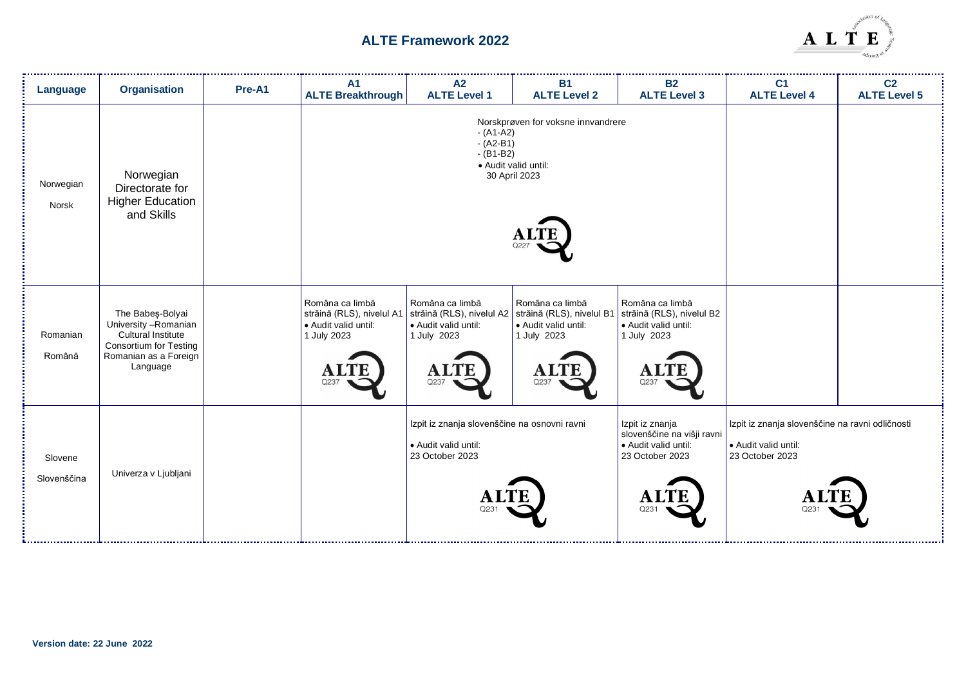

| Language               | <b>Organisation</b>                                                                                                                   | Pre-A1 | A1<br><b>ALTE Breakthrough</b>                                                                                                                                               | A2<br><b>ALTE Level 1</b>                                                                                                                                                                                 | <b>B1</b><br><b>ALTE Level 2</b>                                     | <b>B2</b><br><b>ALTE Level 3</b>                                                                            | C <sub>1</sub><br><b>ALTE Level 4</b> | C <sub>2</sub><br><b>ALTE Level 5</b> |
|------------------------|---------------------------------------------------------------------------------------------------------------------------------------|--------|------------------------------------------------------------------------------------------------------------------------------------------------------------------------------|-----------------------------------------------------------------------------------------------------------------------------------------------------------------------------------------------------------|----------------------------------------------------------------------|-------------------------------------------------------------------------------------------------------------|---------------------------------------|---------------------------------------|
| Norwegian<br>Norsk     | Norwegian<br>Directorate for<br><b>Higher Education</b><br>and Skills                                                                 |        |                                                                                                                                                                              | Norskprøven for voksne innvandrere<br>$-(A1-A2)$<br>$-(A2-B1)$<br>$- (B1-B2)$<br>· Audit valid until:<br>30 April 2023                                                                                    |                                                                      |                                                                                                             |                                       |                                       |
| Romanian<br>Română     | The Babes-Bolyai<br>University - Romanian<br>Cultural Institute<br><b>Consortium for Testing</b><br>Romanian as a Foreign<br>Language |        | Româna ca limbă<br>$\vert$ străină (RLS), nivelul A1 $\vert$ străină (RLS), nivelul A2 $\vert$ străină (RLS), nivelul B1<br>• Audit valid until:<br>1 July 2023<br>A<br>Q237 | Româna ca limbă<br>• Audit valid until:<br>1 July 2023<br>Al<br>Q237                                                                                                                                      | Româna ca limbă<br>• Audit valid until:<br>1 July 2023<br>Al<br>Q237 | Româna ca limbă<br>străină (RLS), nivelul B2<br>• Audit valid until:<br>1 July 2023<br>$\mathbf{A}$<br>Q237 |                                       |                                       |
| Slovene<br>Slovenščina | Univerza v Ljubljani                                                                                                                  |        |                                                                                                                                                                              | Izpit iz znanja slovenščine na osnovni ravni<br>Izpit iz znanja<br>slovenščine na višji ravni<br>· Audit valid until:<br>· Audit valid until:<br>23 October 2023<br>23 October 2023<br>$\mathbf A$<br>Q23 |                                                                      | Izpit iz znanja slovenščine na ravni odličnosti<br>Audit valid until:<br>23 October 2023                    |                                       |                                       |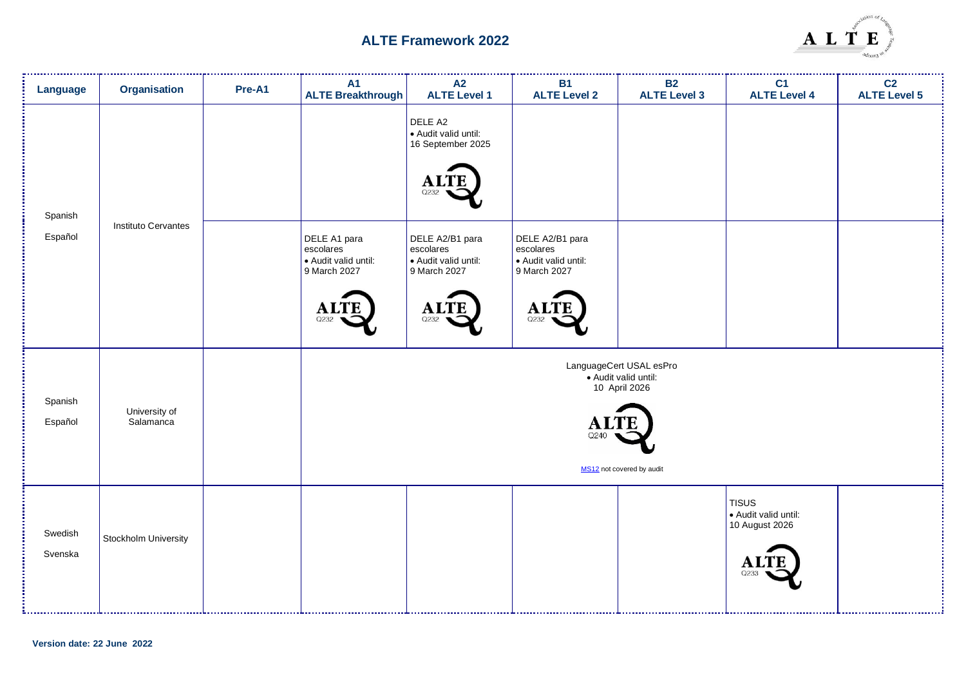

| <b>Language</b>    | Organisation               | Pre-A1 | <b>A1</b><br><b>ALTE Breakthrough</b>                                                  | A2<br><b>ALTE Level 1</b>                                                                   | <b>B1</b><br><b>ALTE Level 2</b>                                                           | <b>B2</b><br><b>ALTE Level 3</b>                                                              | C <sub>1</sub><br><b>ALTE Level 4</b>                 | C <sub>2</sub><br><b>ALTE Level 5</b> |
|--------------------|----------------------------|--------|----------------------------------------------------------------------------------------|---------------------------------------------------------------------------------------------|--------------------------------------------------------------------------------------------|-----------------------------------------------------------------------------------------------|-------------------------------------------------------|---------------------------------------|
| Spanish<br>Español | Instituto Cervantes        |        |                                                                                        | DELE A2<br>• Audit valid until:<br>16 September 2025<br>Q232                                |                                                                                            |                                                                                               |                                                       |                                       |
|                    |                            |        | DELE A1 para<br>escolares<br>Audit valid until:<br>9 March 2027<br><b>ALTE</b><br>Q232 | DELE A2/B1 para<br>escolares<br>• Audit valid until:<br>9 March 2027<br><b>ALTI</b><br>Q232 | DELE A2/B1 para<br>escolares<br>· Audit valid until:<br>9 March 2027<br><b>ALT</b><br>Q232 |                                                                                               |                                                       |                                       |
| Spanish<br>Español | University of<br>Salamanca |        |                                                                                        |                                                                                             | A.<br>Q240                                                                                 | LanguageCert USAL esPro<br>· Audit valid until:<br>10 April 2026<br>MS12 not covered by audit |                                                       |                                       |
| Swedish<br>Svenska | Stockholm University       |        |                                                                                        |                                                                                             |                                                                                            |                                                                                               | TISUS<br>Audit valid until:<br>10 August 2026<br>O233 |                                       |